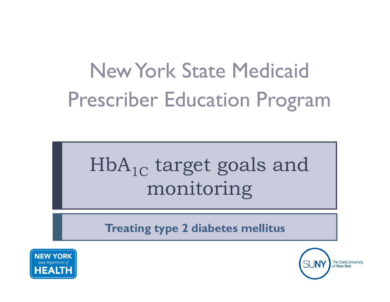# New York State MedicaidPrescriber Education Program

# $\rm HbA_{1C}$  target goals and monitoring

**Treating type 2 diabetes mellitus**



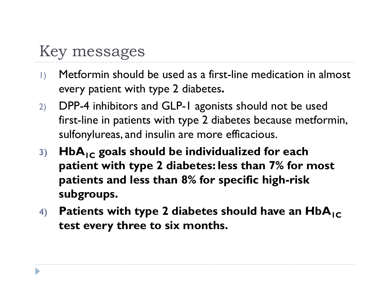### Key messages

- 1) Metformin should be used as a first-line medication in almost every patient with type 2 diabetes.
- 2) DPP-4 inhibitors and GLP-1 agonists should not be used first-line in patients with type 2 diabetes because metformin, sulfonylureas, and insulin are more efficacious.
- **3) HbA1C goals should be individualized for each p yp atient with type 2 diabetes: less than 7% for most patients and less than 8% for specific high-risk subgroups.**
- 4) Patients with type 2 diabetes should have an  $HbA_{IC}$ **test every three to six months.**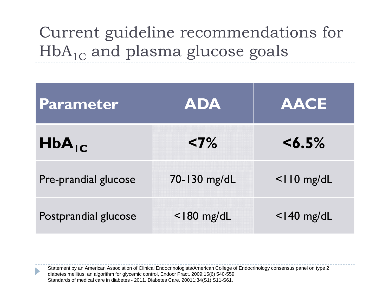# Current guideline recommendations for  $\rm HbA_{1C}$  and plasma glucose goals

| Parameter            | <b>ADA</b>     | <b>AACE</b>    |
|----------------------|----------------|----------------|
| $HbA_{IC}$           | $< 7\%$        | $< 6.5\%$      |
| Pre-prandial glucose | 70-130 mg/dL   | $<$ IIO mg/dL  |
| Postprandial glucose | $<$   80 mg/dL | $<$   40 mg/dL |

Statement by an American Association of Clinical Endocrinologists/American College of Endocrinology consensus panel on type 2 diabetes mellitus: an algorithm for glycemic control, Endocr Pract. 2009;15(6) 540-559. Standards of medical care in diabetes - 2011. Diabetes Care. 20011;34(S1):S11-S61.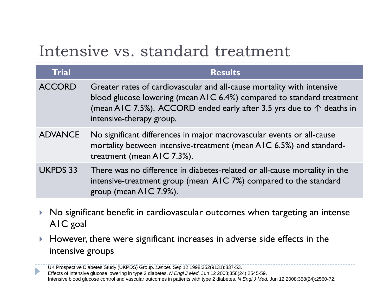### Intensive vs. standard treatment

| <b>Trial</b>    | <b>Results</b>                                                                                                                                                                                                                                      |
|-----------------|-----------------------------------------------------------------------------------------------------------------------------------------------------------------------------------------------------------------------------------------------------|
| <b>ACCORD</b>   | Greater rates of cardiovascular and all-cause mortality with intensive<br>blood glucose lowering (mean AIC 6.4%) compared to standard treatment<br>(mean AIC 7.5%). ACCORD ended early after 3.5 yrs due to ↑ deaths in<br>intensive-therapy group. |
| <b>ADVANCE</b>  | No significant differences in major macrovascular events or all-cause<br>mortality between intensive-treatment (mean AIC 6.5%) and standard-<br>treatment (mean AIC 7.3%).                                                                          |
| <b>UKPDS 33</b> | There was no difference in diabetes-related or all-cause mortality in the<br>intensive-treatment group (mean AIC 7%) compared to the standard<br>group (mean AIC 7.9%).                                                                             |

- $\blacktriangleright$   $\blacktriangleright$   $\blacktriangleleft$  No significant benefit in cardiovascular outcomes when targeting an intense A1C goal
- $\mathbf{r}$  However, there were significant increases in adverse side effects in the intensive groups

UK Prospective Diabetes Study (UKPDS) Group. *Lancet.* Sep 12 1998;352(9131):837-53. Effects of intensive glucose lowering in type 2 diabetes. *N Engl J Med.* Jun 12 2008;358(24):2545-59. Intensive blood glucose control and vascular outcomes in patients with type 2 diabetes. *N Engl J Med.* Jun 12 2008;358(24):2560-72.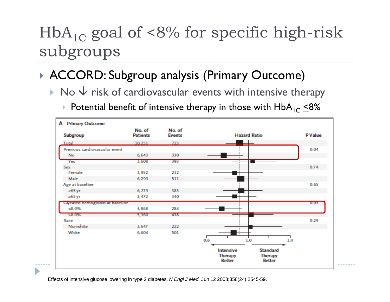### ACCORD: Subgroup analysis (Primary Outcome)

- $\triangleright$  No  $\vee$  risk of cardiovascular events with intensive therapy
	- $\blacktriangleright$  Potential benefit of intensive therapy in those with  $\mathsf{HbA}_{\mathsf{IC}}$   $\leq$ 8%



Effects of intensive glucose lowering in type 2 diabetes. *N Engl J Med.* Jun 12 2008;358(24):2545-59.

b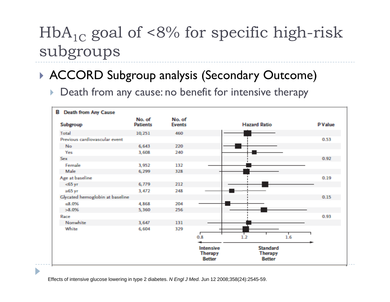### ACCORD Subgroup analysis (Secondary Outcome)

 $\blacktriangleright$ Death from any cause: no benefit for intensive therapy



Effects of intensive glucose lowering in type 2 diabetes. *N Engl J Med.* Jun 12 2008;358(24):2545-59.

ь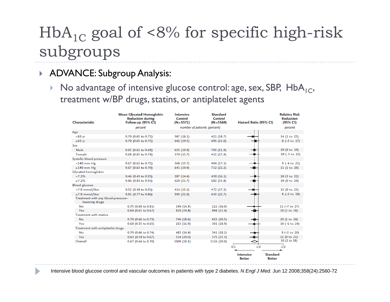#### ADVANCE: Subgroup Analysis:

D

 $\blacktriangleright$ No advantage of intensive glucose control: age, sex, SBP,  $HbA_{1C}$ , treatment w/BP drugs, statins, or antiplatelet agents

| Characteristic                                       | <b>Mean Glycated Hemoglobin</b><br><b>Reduction during</b><br>Follow-up (95% CI) | <b>Intensive</b><br>Control<br>$(N=5571)$ | <b>Standard</b><br>Control<br>$(N=5569)$ | Hazard Ratio (95% CI)                                                 | <b>Relative Risk</b><br><b>Reduction</b><br>(95% CI) |
|------------------------------------------------------|----------------------------------------------------------------------------------|-------------------------------------------|------------------------------------------|-----------------------------------------------------------------------|------------------------------------------------------|
|                                                      | percent                                                                          |                                           | number of patients (percent)             |                                                                       | percent                                              |
| Age                                                  |                                                                                  |                                           |                                          |                                                                       |                                                      |
| $< 65$ yr                                            | 0.70 (0.65 to 0.75)                                                              | 367 (16.1)                                | 421 (18.7)                               |                                                                       | 14 (1 to 25)                                         |
| $\geq 65$ yr                                         | 0.70 (0.65 to 0.75)                                                              | 642 (19.5)                                | 695 (21.0)                               |                                                                       | $8(-3 to 17)$                                        |
| Sex                                                  |                                                                                  |                                           |                                          |                                                                       |                                                      |
| Male                                                 | $0.65$ (0.61 to 0.69)                                                            | 635 (19.9)                                | 705 (21.9)                               |                                                                       | 10 (0 to 19)                                         |
| Female                                               | $0.69$ (0.65 to 0.74)                                                            | 374 (15.7)                                | 411 (17.4)                               |                                                                       | $10 (-3 to 22)$                                      |
| Systolic blood pressure                              |                                                                                  |                                           |                                          |                                                                       |                                                      |
| $<$ 140 mm Hg                                        | 0.67 (0.63 to 0.72)                                                              | 368 (15.7)                                | 404 (17.1)                               |                                                                       | $9(-4 to 21)$                                        |
| $\geq$ 140 mm Hg                                     | 0.67 (0.63 to 0.70)                                                              | 641 (19.9)                                | 712 (22.2)                               |                                                                       | 11 (1 to 20)                                         |
| Glycated hemoglobin                                  |                                                                                  |                                           |                                          |                                                                       |                                                      |
| < 7.2%                                               | 0.46 (0.43 to 0.55)                                                              | 387 (14.4)                                | 430 (16.1)                               |                                                                       | 10 (3 to 22)                                         |
| $\geq 7.2\%$                                         | 0.86 (0.81 to 0.91)                                                              | 620 (21.7)                                | 682 (23.8)                               |                                                                       | 10 (0 to 20)                                         |
| <b>Blood</b> glucose                                 |                                                                                  |                                           |                                          |                                                                       |                                                      |
| <7.9 mmol/liter                                      | 0.52 (0.48 to 0.55)                                                              | 414 (15.2)                                | 472 (17.3)                               |                                                                       | 13 (0 to 23)                                         |
| ≥7.9 mmol/liter                                      | 0.81 (0.77 to 0.86)                                                              | 595 (21.0)                                | 643 (22.7)                               |                                                                       | $8(-2 to 18)$                                        |
| Treatment with any blood-pressure-<br>lowering drugs |                                                                                  |                                           |                                          |                                                                       |                                                      |
| No                                                   | 0.75 (0.69 to 0.81)                                                              | 199 (14.3)                                | 222 (16.0)                               |                                                                       | 11 (-7 to 27)                                        |
| Yes                                                  | $0.64$ (0.61 to 0.67)                                                            | 810 (19.4)                                | 894 (21.4)                               |                                                                       | 10(1 to 18)                                          |
| <b>Treatment with statins</b>                        |                                                                                  |                                           |                                          |                                                                       |                                                      |
| No                                                   | 0.70 (0.66 to 0.73)                                                              | 746 (18.6)                                | 815 (20.5)                               |                                                                       | 10(1 to 19)                                          |
| Yes                                                  | $0.60$ (0.55 to 0.65)                                                            | 263 (16.9)                                | 301 (18.9)                               |                                                                       | $10 (-6 to 24)$                                      |
| Treatment with antiplatelet drugs                    |                                                                                  |                                           |                                          |                                                                       |                                                      |
| No                                                   | 0.70 (0.66 to 0.74)                                                              | 485 (16.4)                                | 541 (18.1)                               |                                                                       | $9$ (-2 to 20)                                       |
| Yes                                                  | 0.63 (0.59 to 0.67)                                                              | 524 (20.0)                                | 575 (22.3)                               |                                                                       | 11 (0 to 21)                                         |
| Overall                                              | 0.67 (0.64 to 0.70)                                                              | 1009(18.1)                                | 1116 (20.0)                              |                                                                       | 10 (2 to 18)                                         |
|                                                      |                                                                                  |                                           |                                          | 0.5<br>1.0                                                            | 2.0                                                  |
|                                                      |                                                                                  |                                           |                                          | <b>Standard</b><br><b>Intensive</b><br><b>Better</b><br><b>Better</b> |                                                      |

Intensive blood glucose control and vascular outcomes in patients with type 2 diabetes. *N Engl J Med.* Jun 12 2008;358(24):2560-72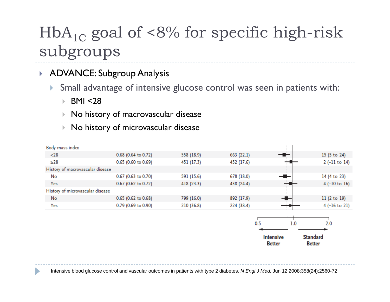#### ▶ ADVANCE: Subgroup Analysis

 $\blacktriangleright$ Small advantage of intensive glucose control was seen in patients with:

K. BMI <28

D

- $\mathbf{F}$ No history of macrovascular disease
- k. No history of microvascular disease

| Body-mass index                  |                       |            |            |                  |                 |
|----------------------------------|-----------------------|------------|------------|------------------|-----------------|
| $<$ 28                           | 0.68 (0.64 to 0.72)   | 558 (18.9) | 663 (22.1) | ╼▆╤              | 15 (5 to 24)    |
| $\geq$ 28                        | 0.65 (0.60 to 0.69)   | 451 (17.3) | 452 (17.6) |                  | $2(-11 to 14)$  |
| History of macrovascular disease |                       |            |            |                  |                 |
| No                               | 0.67 (0.63 to 0.70)   | 591 (15.6) | 678 (18.0) |                  | 14 (4 to 23)    |
| Yes                              | 0.67 (0.62 to 0.72)   | 418 (23.3) | 438 (24.4) |                  | $4 (-10 to 16)$ |
| History of microvascular disease |                       |            |            |                  |                 |
| No                               | $0.65$ (0.62 to 0.68) | 799 (16.0) | 892 (17.9) |                  | 11(2 to 19)     |
| Yes                              | 0.79 (0.69 to 0.90)   | 210 (36.8) | 224 (38.4) |                  | $4 (-16 to 21)$ |
|                                  |                       |            |            |                  |                 |
|                                  |                       |            |            | 0.5<br>1.0       | 2.0             |
|                                  |                       |            |            |                  |                 |
|                                  |                       |            |            | <b>Intensive</b> | <b>Standard</b> |
|                                  |                       |            |            | <b>Better</b>    | <b>Better</b>   |

Intensive blood glucose control and vascular outcomes in patients with type 2 diabetes. *N Engl J Med.* Jun 12 2008;358(24):2560-72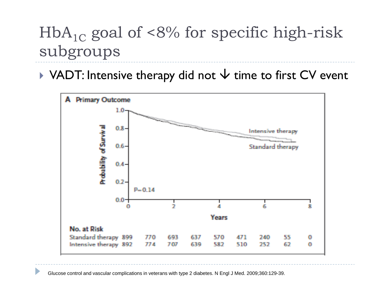$\blacktriangleright$  VADT: Intensive therapy did not  $\blacktriangleright$  time to first CV event



Glucose control and vascular complications in veterans with type 2 diabetes. N Engl J Med. 2009;360:129-39.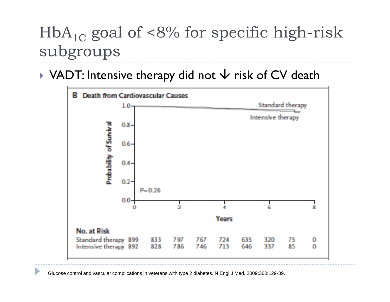$\blacktriangleright$  VADT: Intensive therapy did not  $\blacktriangleright$  risk of CV death



Glucose control and vascular complications in veterans with type 2 diabetes. N Engl J Med. 2009;360:129-39.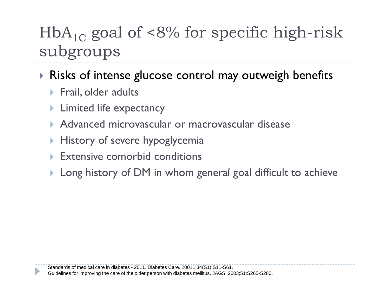Risks of intense glucose control may outweigh benefits

- $\blacktriangleright$  Frail, older adults
- **Limited life expectancy**
- Advanced microvascular or macrovascular disease
- **History of severe hypoglycemia**
- **Extensive comorbid conditions**
- $\blacktriangleright$  Long history of DM in whom general goal difficult to achieve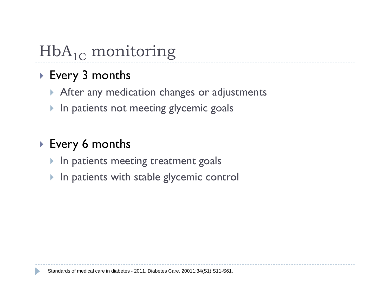# $\mathop{\rm HbA}\nolimits_{1\rm C}$  monitoring

### Every 3 months

- **After any medication changes or adjustments**
- $\blacktriangleright$  In patients not meeting glycemic goals

### Every 6 months

- $\blacktriangleright$  In patients meeting treatment goals
- $\blacktriangleright$  In patients with stable glycemic control